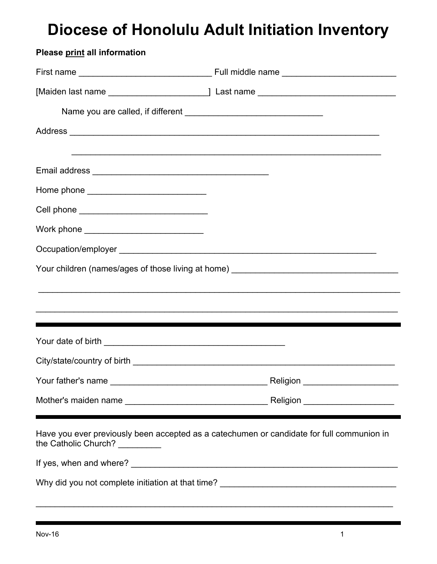## **Diocese of Honolulu Adult Initiation Inventory**

| Please print all information                   |                                                                                           |
|------------------------------------------------|-------------------------------------------------------------------------------------------|
|                                                |                                                                                           |
|                                                |                                                                                           |
|                                                |                                                                                           |
|                                                |                                                                                           |
|                                                | ,我们也不能在这里的人,我们也不能在这里的人,我们也不能在这里的人,我们也不能在这里的人,我们也不能在这里的人,我们也不能在这里的人,我们也不能在这里的人,我们也         |
|                                                |                                                                                           |
| Home phone _______________________________     |                                                                                           |
| Cell phone ___________________________________ |                                                                                           |
| Work phone _______________________________     |                                                                                           |
|                                                |                                                                                           |
|                                                |                                                                                           |
|                                                |                                                                                           |
|                                                |                                                                                           |
|                                                |                                                                                           |
|                                                |                                                                                           |
|                                                |                                                                                           |
|                                                |                                                                                           |
|                                                |                                                                                           |
| the Catholic Church? _________                 | Have you ever previously been accepted as a catechumen or candidate for full communion in |
|                                                |                                                                                           |
|                                                |                                                                                           |

\_\_\_\_\_\_\_\_\_\_\_\_\_\_\_\_\_\_\_\_\_\_\_\_\_\_\_\_\_\_\_\_\_\_\_\_\_\_\_\_\_\_\_\_\_\_\_\_\_\_\_\_\_\_\_\_\_\_\_\_\_\_\_\_\_\_\_\_\_\_\_\_\_\_\_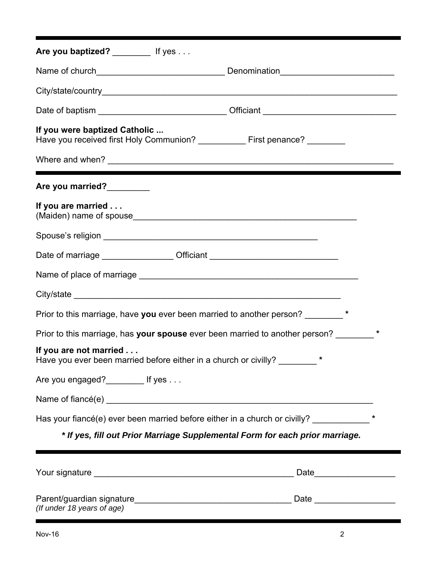| Are you baptized? _____________ If yes                                                                       |         |         |
|--------------------------------------------------------------------------------------------------------------|---------|---------|
|                                                                                                              |         |         |
|                                                                                                              |         |         |
| Date of baptism ________________________________Officiant _______________________                            |         |         |
| If you were baptized Catholic<br>Have you received first Holy Communion? ___________ First penance? ________ |         |         |
|                                                                                                              |         |         |
| Are you married?                                                                                             |         |         |
| If you are married                                                                                           |         |         |
|                                                                                                              |         |         |
| Date of marriage ___________________Officiant __________________________________                             |         |         |
|                                                                                                              |         |         |
|                                                                                                              |         |         |
| Prior to this marriage, have you ever been married to another person?                                        |         |         |
| Prior to this marriage, has your spouse ever been married to another person?                                 |         |         |
| If you are not married<br>Have you ever been married before either in a church or civilly?                   | $\star$ |         |
| Are you engaged?_________ If yes                                                                             |         |         |
|                                                                                                              |         |         |
| Has your fiancé(e) ever been married before either in a church or civilly? ____________                      |         | $\star$ |
| * If yes, fill out Prior Marriage Supplemental Form for each prior marriage.                                 |         |         |
|                                                                                                              |         |         |
|                                                                                                              |         |         |
| Parent/guardian signature<br><u> 1980 - John Stein, Amerikaansk kanton (</u>                                 | Date    |         |

*(If under 18 years of age)*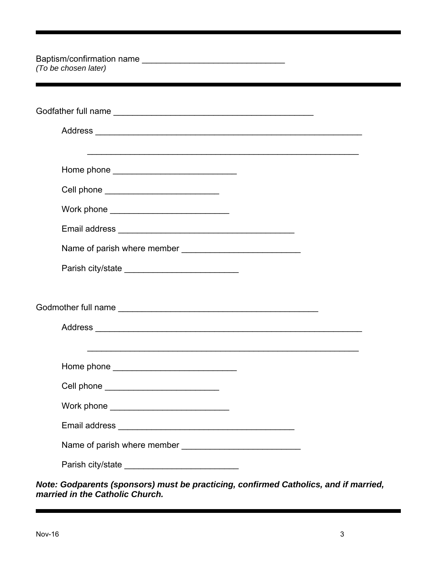| (To be chosen later)                                                                                                                                                                                                                 |  |
|--------------------------------------------------------------------------------------------------------------------------------------------------------------------------------------------------------------------------------------|--|
|                                                                                                                                                                                                                                      |  |
|                                                                                                                                                                                                                                      |  |
|                                                                                                                                                                                                                                      |  |
| Cell phone ___________________________                                                                                                                                                                                               |  |
| Work phone _______________________________                                                                                                                                                                                           |  |
|                                                                                                                                                                                                                                      |  |
|                                                                                                                                                                                                                                      |  |
|                                                                                                                                                                                                                                      |  |
|                                                                                                                                                                                                                                      |  |
| Home phone                                                                                                                                                                                                                           |  |
| Cell phone ______________________________                                                                                                                                                                                            |  |
|                                                                                                                                                                                                                                      |  |
| Email address <b>contract to the contract of the contract of the contract of the contract of the contract of the contract of the contract of the contract of the contract of the contract of the contract of the contract of the</b> |  |
|                                                                                                                                                                                                                                      |  |
| Parish city/state ______________________________                                                                                                                                                                                     |  |

| Note: Godparents (sponsors) must be practicing, confirmed Catholics, and if married, |  |
|--------------------------------------------------------------------------------------|--|
| married in the Catholic Church.                                                      |  |